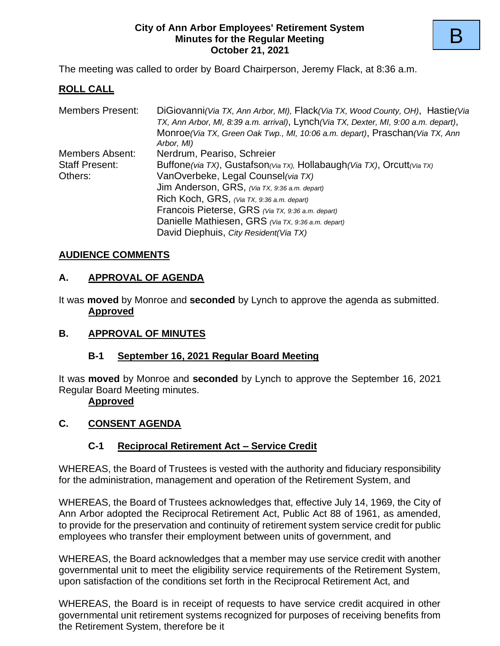#### **City of Ann Arbor Employees' Retirement System Minutes for the Regular Meeting October 21, 2021**

The meeting was called to order by Board Chairperson, Jeremy Flack, at 8:36 a.m.

## **ROLL CALL**

| <b>Members Present:</b>                                                                         | DiGiovanni (Via TX, Ann Arbor, MI), Flack (Via TX, Wood County, OH), Hastie (Via            |  |  |  |  |
|-------------------------------------------------------------------------------------------------|---------------------------------------------------------------------------------------------|--|--|--|--|
|                                                                                                 | TX, Ann Arbor, MI, 8:39 a.m. arrival), Lynch (Via TX, Dexter, MI, 9:00 a.m. depart),        |  |  |  |  |
|                                                                                                 | Monroe (Via TX, Green Oak Twp., MI, 10:06 a.m. depart), Praschan (Via TX, Ann<br>Arbor, MI) |  |  |  |  |
| Nerdrum, Peariso, Schreier<br>Members Absent:                                                   |                                                                                             |  |  |  |  |
| Buffone(via TX), Gustafson(Via TX), Hollabaugh(Via TX), Orcutt(Via TX)<br><b>Staff Present:</b> |                                                                                             |  |  |  |  |
| Others:                                                                                         | VanOverbeke, Legal Counsel (via TX)                                                         |  |  |  |  |
|                                                                                                 | Jim Anderson, GRS, (Via TX, 9:36 a.m. depart)                                               |  |  |  |  |
|                                                                                                 | Rich Koch, GRS, $(Vi_{a} Tx, 9.36 a.m.$ depart)                                             |  |  |  |  |
|                                                                                                 | Francois Pieterse, GRS (Via TX, 9:36 a.m. depart)                                           |  |  |  |  |
|                                                                                                 | Danielle Mathiesen, GRS (Via TX, 9:36 a.m. depart)                                          |  |  |  |  |
|                                                                                                 | David Diephuis, City Resident(Via TX)                                                       |  |  |  |  |

### **AUDIENCE COMMENTS**

### **A. APPROVAL OF AGENDA**

It was **moved** by Monroe and **seconded** by Lynch to approve the agenda as submitted. **Approved**

### **B. APPROVAL OF MINUTES**

### **B-1 September 16, 2021 Regular Board Meeting**

It was **moved** by Monroe and **seconded** by Lynch to approve the September 16, 2021 Regular Board Meeting minutes.

### **Approved**

## **C. CONSENT AGENDA**

## **C-1 Reciprocal Retirement Act – Service Credit**

WHEREAS, the Board of Trustees is vested with the authority and fiduciary responsibility for the administration, management and operation of the Retirement System, and

WHEREAS, the Board of Trustees acknowledges that, effective July 14, 1969, the City of Ann Arbor adopted the Reciprocal Retirement Act, Public Act 88 of 1961, as amended, to provide for the preservation and continuity of retirement system service credit for public employees who transfer their employment between units of government, and

WHEREAS, the Board acknowledges that a member may use service credit with another governmental unit to meet the eligibility service requirements of the Retirement System, upon satisfaction of the conditions set forth in the Reciprocal Retirement Act, and

WHEREAS, the Board is in receipt of requests to have service credit acquired in other governmental unit retirement systems recognized for purposes of receiving benefits from the Retirement System, therefore be it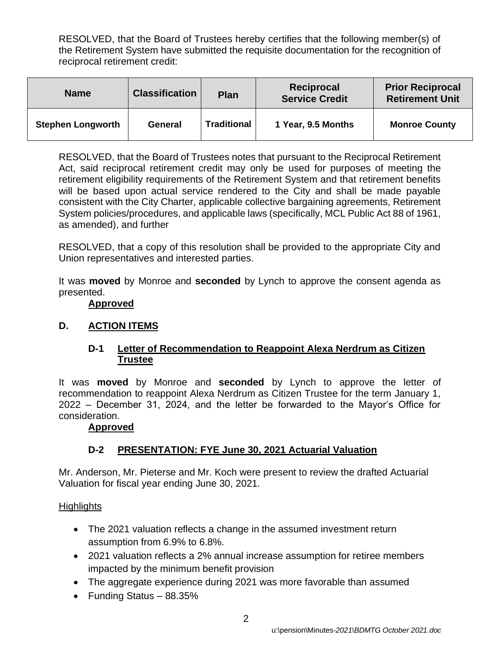RESOLVED, that the Board of Trustees hereby certifies that the following member(s) of the Retirement System have submitted the requisite documentation for the recognition of reciprocal retirement credit:

| <b>Name</b>              | <b>Classification</b> |                    | Reciprocal            | <b>Prior Reciprocal</b> |  |
|--------------------------|-----------------------|--------------------|-----------------------|-------------------------|--|
|                          | <b>Plan</b>           |                    | <b>Service Credit</b> | <b>Retirement Unit</b>  |  |
| <b>Stephen Longworth</b> | General               | <b>Traditional</b> | 1 Year, 9.5 Months    | <b>Monroe County</b>    |  |

RESOLVED, that the Board of Trustees notes that pursuant to the Reciprocal Retirement Act, said reciprocal retirement credit may only be used for purposes of meeting the retirement eligibility requirements of the Retirement System and that retirement benefits will be based upon actual service rendered to the City and shall be made payable consistent with the City Charter, applicable collective bargaining agreements, Retirement System policies/procedures, and applicable laws (specifically, MCL Public Act 88 of 1961, as amended), and further

RESOLVED, that a copy of this resolution shall be provided to the appropriate City and Union representatives and interested parties.

It was **moved** by Monroe and **seconded** by Lynch to approve the consent agenda as presented.

### **Approved**

### **D. ACTION ITEMS**

### **D-1 Letter of Recommendation to Reappoint Alexa Nerdrum as Citizen Trustee**

It was **moved** by Monroe and **seconded** by Lynch to approve the letter of recommendation to reappoint Alexa Nerdrum as Citizen Trustee for the term January 1, 2022 – December 31, 2024, and the letter be forwarded to the Mayor's Office for consideration.

#### **Approved**

## **D-2 PRESENTATION: FYE June 30, 2021 Actuarial Valuation**

Mr. Anderson, Mr. Pieterse and Mr. Koch were present to review the drafted Actuarial Valuation for fiscal year ending June 30, 2021.

### **Highlights**

- The 2021 valuation reflects a change in the assumed investment return assumption from 6.9% to 6.8%.
- 2021 valuation reflects a 2% annual increase assumption for retiree members impacted by the minimum benefit provision
- The aggregate experience during 2021 was more favorable than assumed
- Funding Status 88.35%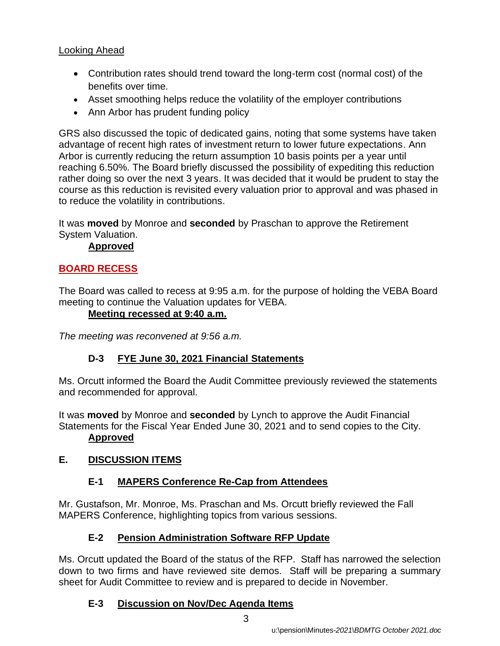# Looking Ahead

- Contribution rates should trend toward the long-term cost (normal cost) of the benefits over time.
- Asset smoothing helps reduce the volatility of the employer contributions
- Ann Arbor has prudent funding policy

GRS also discussed the topic of dedicated gains, noting that some systems have taken advantage of recent high rates of investment return to lower future expectations. Ann Arbor is currently reducing the return assumption 10 basis points per a year until reaching 6.50%. The Board briefly discussed the possibility of expediting this reduction rather doing so over the next 3 years. It was decided that it would be prudent to stay the course as this reduction is revisited every valuation prior to approval and was phased in to reduce the volatility in contributions.

It was **moved** by Monroe and **seconded** by Praschan to approve the Retirement System Valuation.

# **Approved**

# **BOARD RECESS**

The Board was called to recess at 9:95 a.m. for the purpose of holding the VEBA Board meeting to continue the Valuation updates for VEBA.

# **Meeting recessed at 9:40 a.m.**

*The meeting was reconvened at 9:56 a.m.*

# **D-3 FYE June 30, 2021 Financial Statements**

Ms. Orcutt informed the Board the Audit Committee previously reviewed the statements and recommended for approval.

It was **moved** by Monroe and **seconded** by Lynch to approve the Audit Financial Statements for the Fiscal Year Ended June 30, 2021 and to send copies to the City. **Approved**

# **E. DISCUSSION ITEMS**

# **E-1 MAPERS Conference Re-Cap from Attendees**

Mr. Gustafson, Mr. Monroe, Ms. Praschan and Ms. Orcutt briefly reviewed the Fall MAPERS Conference, highlighting topics from various sessions.

# **E-2 Pension Administration Software RFP Update**

Ms. Orcutt updated the Board of the status of the RFP. Staff has narrowed the selection down to two firms and have reviewed site demos. Staff will be preparing a summary sheet for Audit Committee to review and is prepared to decide in November.

## **E-3 Discussion on Nov/Dec Agenda Items**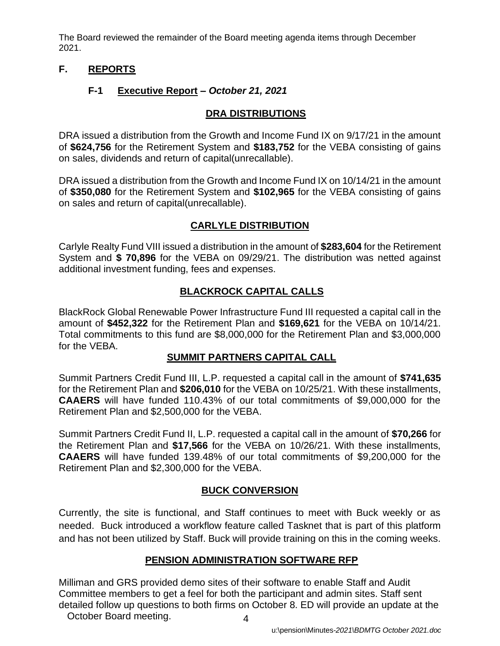The Board reviewed the remainder of the Board meeting agenda items through December 2021.

## **F. REPORTS**

## **F-1 Executive Report** *– October 21, 2021*

## **DRA DISTRIBUTIONS**

DRA issued a distribution from the Growth and Income Fund IX on 9/17/21 in the amount of **\$624,756** for the Retirement System and **\$183,752** for the VEBA consisting of gains on sales, dividends and return of capital(unrecallable).

DRA issued a distribution from the Growth and Income Fund IX on 10/14/21 in the amount of **\$350,080** for the Retirement System and **\$102,965** for the VEBA consisting of gains on sales and return of capital(unrecallable).

## **CARLYLE DISTRIBUTION**

Carlyle Realty Fund VIII issued a distribution in the amount of **\$283,604** for the Retirement System and **\$ 70,896** for the VEBA on 09/29/21. The distribution was netted against additional investment funding, fees and expenses.

# **BLACKROCK CAPITAL CALLS**

BlackRock Global Renewable Power Infrastructure Fund III requested a capital call in the amount of **\$452,322** for the Retirement Plan and **\$169,621** for the VEBA on 10/14/21. Total commitments to this fund are \$8,000,000 for the Retirement Plan and \$3,000,000 for the VEBA.

## **SUMMIT PARTNERS CAPITAL CALL**

Summit Partners Credit Fund III, L.P. requested a capital call in the amount of **\$741,635**  for the Retirement Plan and **\$206,010** for the VEBA on 10/25/21. With these installments, **CAAERS** will have funded 110.43% of our total commitments of \$9,000,000 for the Retirement Plan and \$2,500,000 for the VEBA.

Summit Partners Credit Fund II, L.P. requested a capital call in the amount of **\$70,266** for the Retirement Plan and **\$17,566** for the VEBA on 10/26/21. With these installments, **CAAERS** will have funded 139.48% of our total commitments of \$9,200,000 for the Retirement Plan and \$2,300,000 for the VEBA.

## **BUCK CONVERSION**

Currently, the site is functional, and Staff continues to meet with Buck weekly or as needed. Buck introduced a workflow feature called Tasknet that is part of this platform and has not been utilized by Staff. Buck will provide training on this in the coming weeks.

## **PENSION ADMINISTRATION SOFTWARE RFP**

Milliman and GRS provided demo sites of their software to enable Staff and Audit Committee members to get a feel for both the participant and admin sites. Staff sent detailed follow up questions to both firms on October 8. ED will provide an update at the October Board meeting.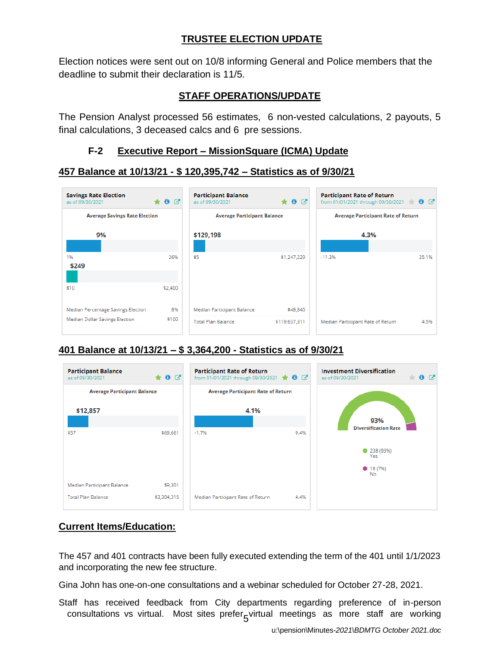# **TRUSTEE ELECTION UPDATE**

Election notices were sent out on 10/8 informing General and Police members that the deadline to submit their declaration is 11/5.

# **STAFF OPERATIONS/UPDATE**

The Pension Analyst processed 56 estimates, 6 non-vested calculations, 2 payouts, 5 final calculations, 3 deceased calcs and 6 pre sessions.

### **F-2 Executive Report – MissionSquare (ICMA) Update**

### **457 Balance at 10/13/21 - \$ 120,395,742 – Statistics as of 9/30/21**



### **401 Balance at 10/13/21 – \$ 3,364,200 - Statistics as of 9/30/21**



## **Current Items/Education:**

The 457 and 401 contracts have been fully executed extending the term of the 401 until 1/1/2023 and incorporating the new fee structure.

Gina John has one-on-one consultations and a webinar scheduled for October 27-28, 2021.

consultations vs virtual. Most sites prefer<sub>5</sub>virtual meetings as more staff are working Staff has received feedback from City departments regarding preference of in-person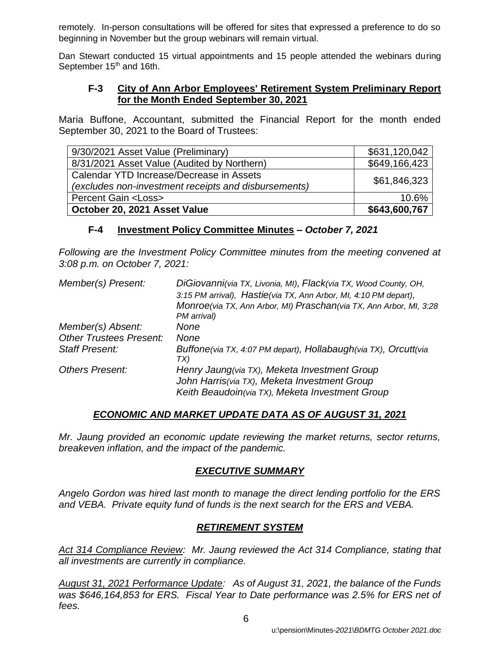remotely. In-person consultations will be offered for sites that expressed a preference to do so beginning in November but the group webinars will remain virtual.

Dan Stewart conducted 15 virtual appointments and 15 people attended the webinars during September 15<sup>th</sup> and 16th.

### **F-3 City of Ann Arbor Employees' Retirement System Preliminary Report for the Month Ended September 30, 2021**

Maria Buffone, Accountant, submitted the Financial Report for the month ended September 30, 2021 to the Board of Trustees:

| October 20, 2021 Asset Value                         | \$643,600,767 |
|------------------------------------------------------|---------------|
| <b>Percent Gain <loss></loss></b>                    | 10.6%         |
| (excludes non-investment receipts and disbursements) |               |
| Calendar YTD Increase/Decrease in Assets             | \$61,846,323  |
| 8/31/2021 Asset Value (Audited by Northern)          | \$649,166,423 |
| 9/30/2021 Asset Value (Preliminary)                  | \$631,120,042 |

### **F-4 Investment Policy Committee Minutes –** *October 7, 2021*

*Following are the Investment Policy Committee minutes from the meeting convened at 3:08 p.m. on October 7, 2021:*

| Member(s) Present:             | DiGiovanni(via TX, Livonia, MI), Flack(via TX, Wood County, OH,        |
|--------------------------------|------------------------------------------------------------------------|
|                                | 3:15 PM arrival), Hastie(via TX, Ann Arbor, MI, 4:10 PM depart),       |
|                                | Monroe(via TX, Ann Arbor, MI) Praschan(via TX, Ann Arbor, MI, 3:28     |
|                                | PM arrival)                                                            |
| Member(s) Absent:              | None                                                                   |
| <b>Other Trustees Present:</b> | None                                                                   |
| <b>Staff Present:</b>          | Buffone(via TX, 4:07 PM depart), Hollabaugh(via TX), Orcutt(via<br>TX) |
| <b>Others Present:</b>         | Henry Jaung(via TX), Meketa Investment Group                           |
|                                | John Harris(via TX), Meketa Investment Group                           |
|                                | Keith Beaudoin(via TX), Meketa Investment Group                        |

### *ECONOMIC AND MARKET UPDATE DATA AS OF AUGUST 31, 2021*

*Mr. Jaung provided an economic update reviewing the market returns, sector returns, breakeven inflation, and the impact of the pandemic.*

## *EXECUTIVE SUMMARY*

*Angelo Gordon was hired last month to manage the direct lending portfolio for the ERS and VEBA. Private equity fund of funds is the next search for the ERS and VEBA.* 

## *RETIREMENT SYSTEM*

*Act 314 Compliance Review: Mr. Jaung reviewed the Act 314 Compliance, stating that all investments are currently in compliance.*

*August 31, 2021 Performance Update: As of August 31, 2021, the balance of the Funds was \$646,164,853 for ERS. Fiscal Year to Date performance was 2.5% for ERS net of fees.*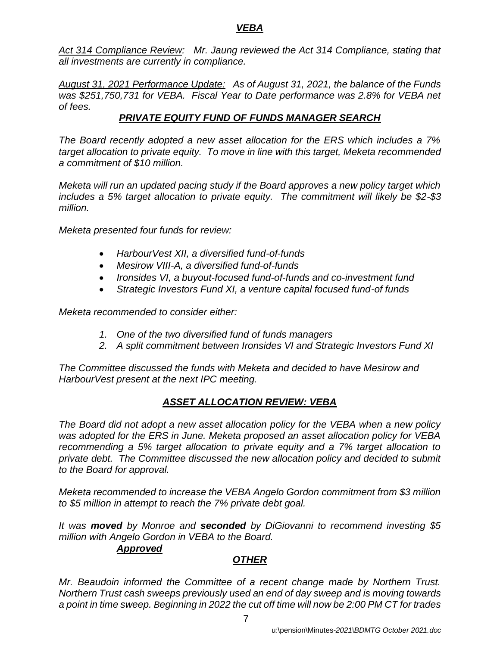*Act 314 Compliance Review: Mr. Jaung reviewed the Act 314 Compliance, stating that all investments are currently in compliance.*

*August 31, 2021 Performance Update: As of August 31, 2021, the balance of the Funds was \$251,750,731 for VEBA. Fiscal Year to Date performance was 2.8% for VEBA net of fees.* 

## *PRIVATE EQUITY FUND OF FUNDS MANAGER SEARCH*

*The Board recently adopted a new asset allocation for the ERS which includes a 7% target allocation to private equity. To move in line with this target, Meketa recommended a commitment of \$10 million.*

*Meketa will run an updated pacing study if the Board approves a new policy target which includes a 5% target allocation to private equity. The commitment will likely be \$2-\$3 million.*

*Meketa presented four funds for review:*

- *HarbourVest XII, a diversified fund-of-funds*
- *Mesirow VIII-A, a diversified fund-of-funds*
- *Ironsides VI, a buyout-focused fund-of-funds and co-investment fund*
- *Strategic Investors Fund XI, a venture capital focused fund-of funds*

*Meketa recommended to consider either:*

- *1. One of the two diversified fund of funds managers*
- *2. A split commitment between Ironsides VI and Strategic Investors Fund XI*

*The Committee discussed the funds with Meketa and decided to have Mesirow and HarbourVest present at the next IPC meeting.*

## *ASSET ALLOCATION REVIEW: VEBA*

*The Board did not adopt a new asset allocation policy for the VEBA when a new policy was adopted for the ERS in June. Meketa proposed an asset allocation policy for VEBA recommending a 5% target allocation to private equity and a 7% target allocation to private debt. The Committee discussed the new allocation policy and decided to submit to the Board for approval.* 

*Meketa recommended to increase the VEBA Angelo Gordon commitment from \$3 million to \$5 million in attempt to reach the 7% private debt goal.*

*It was moved by Monroe and seconded by DiGiovanni to recommend investing \$5 million with Angelo Gordon in VEBA to the Board.*

#### *Approved*

## *OTHER*

*Mr. Beaudoin informed the Committee of a recent change made by Northern Trust. Northern Trust cash sweeps previously used an end of day sweep and is moving towards a point in time sweep. Beginning in 2022 the cut off time will now be 2:00 PM CT for trades*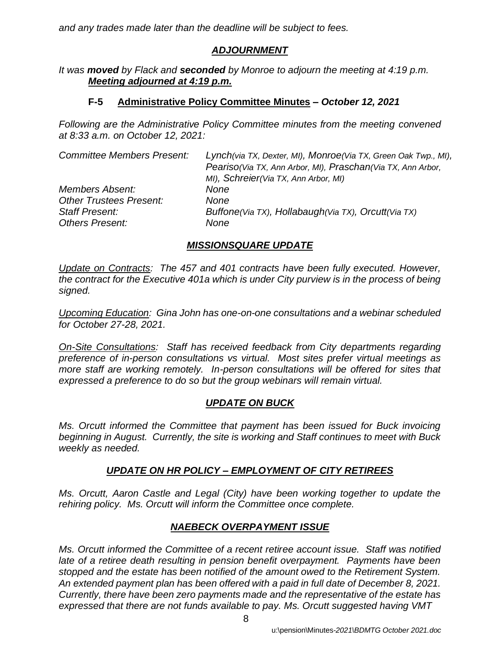*and any trades made later than the deadline will be subject to fees.*

## *ADJOURNMENT*

*It was moved by Flack and seconded by Monroe to adjourn the meeting at 4:19 p.m. Meeting adjourned at 4:19 p.m.*

### **F-5 Administrative Policy Committee Minutes –** *October 12, 2021*

*Following are the Administrative Policy Committee minutes from the meeting convened at 8:33 a.m. on October 12, 2021:*

| <b>Committee Members Present:</b> | Lynch(via TX, Dexter, MI), Monroe(Via TX, Green Oak Twp., MI),<br>Peariso (Via TX, Ann Arbor, MI), Praschan (Via TX, Ann Arbor,<br>MI), Schreier(Via TX, Ann Arbor, MI) |
|-----------------------------------|-------------------------------------------------------------------------------------------------------------------------------------------------------------------------|
| <b>Members Absent:</b>            | None                                                                                                                                                                    |
| <b>Other Trustees Present:</b>    | None                                                                                                                                                                    |
| <b>Staff Present:</b>             | Buffone(Via TX), Hollabaugh(Via TX), Orcutt(Via TX)                                                                                                                     |
| <b>Others Present:</b>            | None                                                                                                                                                                    |

# *MISSIONSQUARE UPDATE*

*Update on Contracts: The 457 and 401 contracts have been fully executed. However, the contract for the Executive 401a which is under City purview is in the process of being signed.*

*Upcoming Education: Gina John has one-on-one consultations and a webinar scheduled for October 27-28, 2021.* 

*On-Site Consultations: Staff has received feedback from City departments regarding preference of in-person consultations vs virtual. Most sites prefer virtual meetings as more staff are working remotely. In-person consultations will be offered for sites that expressed a preference to do so but the group webinars will remain virtual.* 

## *UPDATE ON BUCK*

*Ms. Orcutt informed the Committee that payment has been issued for Buck invoicing beginning in August. Currently, the site is working and Staff continues to meet with Buck weekly as needed.*

## *UPDATE ON HR POLICY – EMPLOYMENT OF CITY RETIREES*

*Ms. Orcutt, Aaron Castle and Legal (City) have been working together to update the rehiring policy. Ms. Orcutt will inform the Committee once complete.*

## *NAEBECK OVERPAYMENT ISSUE*

*Ms. Orcutt informed the Committee of a recent retiree account issue. Staff was notified late of a retiree death resulting in pension benefit overpayment. Payments have been stopped and the estate has been notified of the amount owed to the Retirement System. An extended payment plan has been offered with a paid in full date of December 8, 2021. Currently, there have been zero payments made and the representative of the estate has expressed that there are not funds available to pay. Ms. Orcutt suggested having VMT*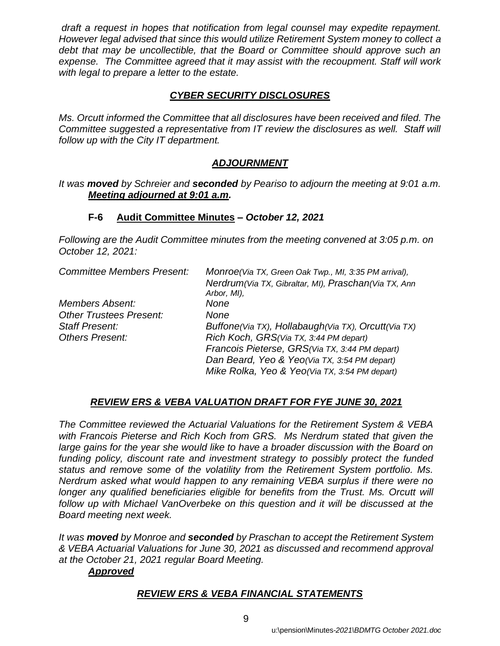*draft a request in hopes that notification from legal counsel may expedite repayment. However legal advised that since this would utilize Retirement System money to collect a debt that may be uncollectible, that the Board or Committee should approve such an expense. The Committee agreed that it may assist with the recoupment. Staff will work with legal to prepare a letter to the estate.*

## *CYBER SECURITY DISCLOSURES*

*Ms. Orcutt informed the Committee that all disclosures have been received and filed. The Committee suggested a representative from IT review the disclosures as well. Staff will follow up with the City IT department.* 

# *ADJOURNMENT*

### *It was moved by Schreier and seconded by Peariso to adjourn the meeting at 9:01 a.m. Meeting adjourned at 9:01 a.m.*

## **F-6 Audit Committee Minutes** *– October 12, 2021*

*Following are the Audit Committee minutes from the meeting convened at 3:05 p.m. on October 12, 2021:*

| Monroe(Via TX, Green Oak Twp., MI, 3:35 PM arrival), |  |  |  |
|------------------------------------------------------|--|--|--|
| Nerdrum(Via TX, Gibraltar, MI), Praschan(Via TX, Ann |  |  |  |
| Arbor, MI),                                          |  |  |  |
| None                                                 |  |  |  |
| None                                                 |  |  |  |
| Buffone(Via TX), Hollabaugh(Via TX), Orcutt(Via TX)  |  |  |  |
| Rich Koch, GRS(Via TX, 3:44 PM depart)               |  |  |  |
| Francois Pieterse, GRS(Via TX, 3:44 PM depart)       |  |  |  |
| Dan Beard, Yeo & Yeo(Via TX, 3:54 PM depart)         |  |  |  |
| Mike Rolka, Yeo & Yeo(Via TX, 3:54 PM depart)        |  |  |  |
|                                                      |  |  |  |

## *REVIEW ERS & VEBA VALUATION DRAFT FOR FYE JUNE 30, 2021*

*The Committee reviewed the Actuarial Valuations for the Retirement System & VEBA with Francois Pieterse and Rich Koch from GRS. Ms Nerdrum stated that given the*  large gains for the year she would like to have a broader discussion with the Board on *funding policy, discount rate and investment strategy to possibly protect the funded status and remove some of the volatility from the Retirement System portfolio. Ms. Nerdrum asked what would happen to any remaining VEBA surplus if there were no longer any qualified beneficiaries eligible for benefits from the Trust. Ms. Orcutt will follow up with Michael VanOverbeke on this question and it will be discussed at the Board meeting next week.*

*It was moved by Monroe and seconded by Praschan to accept the Retirement System & VEBA Actuarial Valuations for June 30, 2021 as discussed and recommend approval at the October 21, 2021 regular Board Meeting.*

## *Approved*

## *REVIEW ERS & VEBA FINANCIAL STATEMENTS*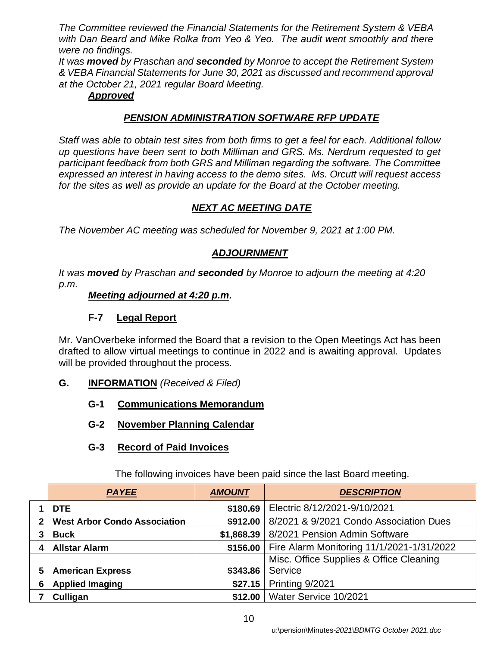*The Committee reviewed the Financial Statements for the Retirement System & VEBA with Dan Beard and Mike Rolka from Yeo & Yeo. The audit went smoothly and there were no findings.* 

*It was moved by Praschan and seconded by Monroe to accept the Retirement System & VEBA Financial Statements for June 30, 2021 as discussed and recommend approval at the October 21, 2021 regular Board Meeting.*

## *Approved*

# *PENSION ADMINISTRATION SOFTWARE RFP UPDATE*

*Staff was able to obtain test sites from both firms to get a feel for each. Additional follow up questions have been sent to both Milliman and GRS. Ms. Nerdrum requested to get participant feedback from both GRS and Milliman regarding the software. The Committee expressed an interest in having access to the demo sites. Ms. Orcutt will request access for the sites as well as provide an update for the Board at the October meeting.* 

# *NEXT AC MEETING DATE*

*The November AC meeting was scheduled for November 9, 2021 at 1:00 PM.*

## *ADJOURNMENT*

*It was moved by Praschan and seconded by Monroe to adjourn the meeting at 4:20 p.m.*

### *Meeting adjourned at 4:20 p.m.*

## **F-7 Legal Report**

Mr. VanOverbeke informed the Board that a revision to the Open Meetings Act has been drafted to allow virtual meetings to continue in 2022 and is awaiting approval. Updates will be provided throughout the process.

- **G. INFORMATION** *(Received & Filed)*
	- **G-1 Communications Memorandum**
	- **G-2 November Planning Calendar**

## **G-3 Record of Paid Invoices**

| <b>PAYEE</b>                        | <b>AMOUNT</b> | <b>DESCRIPTION</b>                        |
|-------------------------------------|---------------|-------------------------------------------|
| <b>DTE</b>                          | \$180.69      | Electric 8/12/2021-9/10/2021              |
| <b>West Arbor Condo Association</b> | \$912.00      | 8/2021 & 9/2021 Condo Association Dues    |
| <b>Buck</b>                         | \$1,868.39    | 8/2021 Pension Admin Software             |
| <b>Allstar Alarm</b>                | \$156.00      | Fire Alarm Monitoring 11/1/2021-1/31/2022 |
|                                     |               | Misc. Office Supplies & Office Cleaning   |
| <b>American Express</b>             | \$343.86      | Service                                   |
| <b>Applied Imaging</b>              | \$27.15       | Printing 9/2021                           |
| Culligan                            | \$12.00       | Water Service 10/2021                     |

The following invoices have been paid since the last Board meeting.